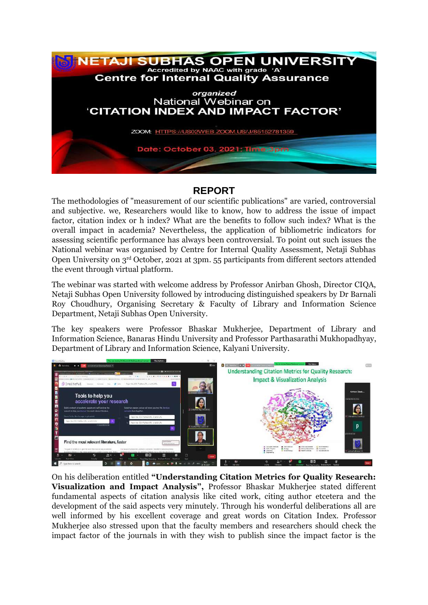

## **REPORT**

The methodologies of "measurement of our scientific publications" are varied, controversial and subjective. we, Researchers would like to know, how to address the issue of impact factor, citation index or h index? What are the benefits to follow such index? What is the overall impact in academia? Nevertheless, the application of bibliometric indicators for assessing scientific performance has always been controversial. To point out such issues the National webinar was organised by Centre for Internal Quality Assessment, Netaji Subhas Open University on 3<sup>rd</sup> October, 2021 at 3pm. 55 participants from different sectors attended the event through virtual platform.

The webinar was started with welcome address by Professor Anirban Ghosh, Director CIQA, Netaji Subhas Open University followed by introducing distinguished speakers by Dr Barnali Roy Choudhury, Organising Secretary & Faculty of Library and Information Science Department, Netaji Subhas Open University.

The key speakers were Professor Bhaskar Mukherjee, Department of Library and Information Science, Banaras Hindu University and Professor Parthasarathi Mukhopadhyay, Department of Library and Information Science, Kalyani University.



On his deliberation entitled **"Understanding Citation Metrics for Quality Research: Visualization and Impact Analysis",** Professor Bhaskar Mukherjee stated different fundamental aspects of citation analysis like cited work, citing author etcetera and the development of the said aspects very minutely. Through his wonderful deliberations all are well informed by his excellent coverage and great words on Citation Index. Professor Mukherjee also stressed upon that the faculty members and researchers should check the impact factor of the journals in with they wish to publish since the impact factor is the